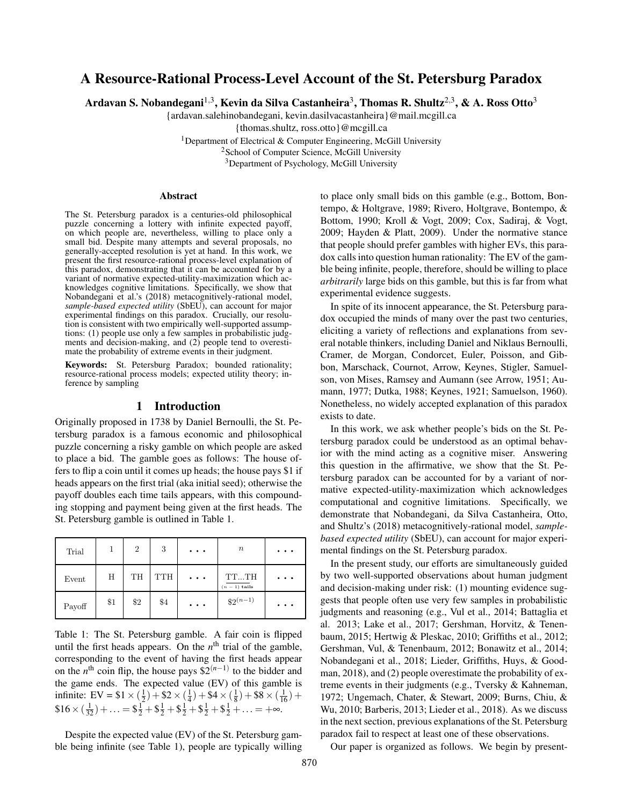# A Resource-Rational Process-Level Account of the St. Petersburg Paradox

Ardavan S. Nobandegani $^{1,3}$ , Kevin da Silva Castanheira $^3$ , Thomas R. Shultz $^{2,3}$ , & A. Ross Otto $^3$ 

{ardavan.salehinobandegani, kevin.dasilvacastanheira}@mail.mcgill.ca

{thomas.shultz, ross.otto}@mcgill.ca

<sup>1</sup>Department of Electrical & Computer Engineering, McGill University <sup>2</sup> School of Computer Science, McGill University <sup>3</sup>Department of Psychology, McGill University

#### Abstract

The St. Petersburg paradox is a centuries-old philosophical puzzle concerning a lottery with infinite expected payoff, on which people are, nevertheless, willing to place only a small bid. Despite many attempts and several proposals, no generally-accepted resolution is yet at hand. In this work, we present the first resource-rational process-level explanation of this paradox, demonstrating that it can be accounted for by a variant of normative expected-utility-maximization which acknowledges cognitive limitations. Specifically, we show that Nobandegani et al.'s (2018) metacognitively-rational model, *sample-based expected utility* (SbEU), can account for major experimental findings on this paradox. Crucially, our resolution is consistent with two empirically well-supported assumptions: (1) people use only a few samples in probabilistic judgments and decision-making, and (2) people tend to overestimate the probability of extreme events in their judgment.

Keywords: St. Petersburg Paradox; bounded rationality; resource-rational process models; expected utility theory; inference by sampling

### 1 Introduction

Originally proposed in 1738 by Daniel Bernoulli, the St. Petersburg paradox is a famous economic and philosophical puzzle concerning a risky gamble on which people are asked to place a bid. The gamble goes as follows: The house offers to flip a coin until it comes up heads; the house pays \$1 if heads appears on the first trial (aka initial seed); otherwise the payoff doubles each time tails appears, with this compounding stopping and payment being given at the first heads. The St. Petersburg gamble is outlined in Table 1.

| Trial  |     | $\overline{2}$ | 3          | $\bullet\quad\bullet\quad\bullet\quad$ | $\it n$               | $\cdots$            |
|--------|-----|----------------|------------|----------------------------------------|-----------------------|---------------------|
| Event  | Н   | TH             | <b>TTH</b> | $\bullet\quad\bullet\quad\bullet$      | TTTH<br>$(n-1)$ tails | $\cdots$            |
| Payoff | \$1 | \$2            | \$4        | $\bullet\quad\bullet\quad\bullet$      | $$2^{(n-1)}$$         | $\bullet$ $\bullet$ |

Table 1: The St. Petersburg gamble. A fair coin is flipped until the first heads appears. On the  $n<sup>th</sup>$  trial of the gamble, corresponding to the event of having the first heads appear on the *n*<sup>th</sup> coin flip, the house pays  $$2^{(n-1)}$  to the bidder and the game ends. The expected value (EV) of this gamble is infinite: EV =  $$1 \times (\frac{1}{2}) + $2 \times (\frac{1}{4}) + $4 \times (\frac{1}{8}) + $8 \times (\frac{1}{16}) + $$  $$16 \times (\frac{1}{32}) + \ldots = $\frac{1}{2} + $\frac{1}{2} + $\frac{1}{2} + $\frac{1}{2} + $\frac{1}{2} + \ldots = +\infty.$ 

Despite the expected value (EV) of the St. Petersburg gamble being infinite (see Table 1), people are typically willing to place only small bids on this gamble (e.g., Bottom, Bontempo, & Holtgrave, 1989; Rivero, Holtgrave, Bontempo, & Bottom, 1990; Kroll & Vogt, 2009; Cox, Sadiraj, & Vogt, 2009; Hayden & Platt, 2009). Under the normative stance that people should prefer gambles with higher EVs, this paradox calls into question human rationality: The EV of the gamble being infinite, people, therefore, should be willing to place *arbitrarily* large bids on this gamble, but this is far from what experimental evidence suggests.

In spite of its innocent appearance, the St. Petersburg paradox occupied the minds of many over the past two centuries, eliciting a variety of reflections and explanations from several notable thinkers, including Daniel and Niklaus Bernoulli, Cramer, de Morgan, Condorcet, Euler, Poisson, and Gibbon, Marschack, Cournot, Arrow, Keynes, Stigler, Samuelson, von Mises, Ramsey and Aumann (see Arrow, 1951; Aumann, 1977; Dutka, 1988; Keynes, 1921; Samuelson, 1960). Nonetheless, no widely accepted explanation of this paradox exists to date.

In this work, we ask whether people's bids on the St. Petersburg paradox could be understood as an optimal behavior with the mind acting as a cognitive miser. Answering this question in the affirmative, we show that the St. Petersburg paradox can be accounted for by a variant of normative expected-utility-maximization which acknowledges computational and cognitive limitations. Specifically, we demonstrate that Nobandegani, da Silva Castanheira, Otto, and Shultz's (2018) metacognitively-rational model, *samplebased expected utility* (SbEU), can account for major experimental findings on the St. Petersburg paradox.

In the present study, our efforts are simultaneously guided by two well-supported observations about human judgment and decision-making under risk: (1) mounting evidence suggests that people often use very few samples in probabilistic judgments and reasoning (e.g., Vul et al., 2014; Battaglia et al. 2013; Lake et al., 2017; Gershman, Horvitz, & Tenenbaum, 2015; Hertwig & Pleskac, 2010; Griffiths et al., 2012; Gershman, Vul, & Tenenbaum, 2012; Bonawitz et al., 2014; Nobandegani et al., 2018; Lieder, Griffiths, Huys, & Goodman, 2018), and (2) people overestimate the probability of extreme events in their judgments (e.g., Tversky & Kahneman, 1972; Ungemach, Chater, & Stewart, 2009; Burns, Chiu, & Wu, 2010; Barberis, 2013; Lieder et al., 2018). As we discuss in the next section, previous explanations of the St. Petersburg paradox fail to respect at least one of these observations.

Our paper is organized as follows. We begin by present-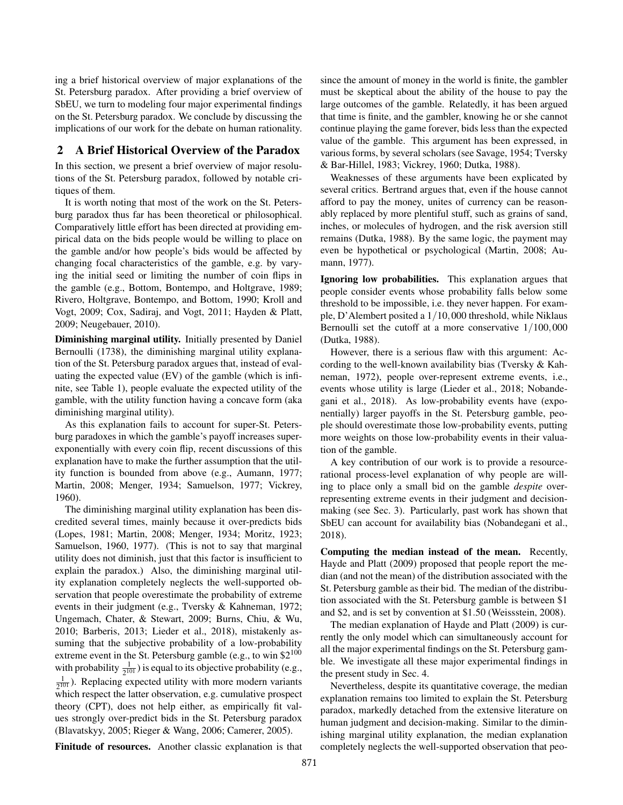ing a brief historical overview of major explanations of the St. Petersburg paradox. After providing a brief overview of SbEU, we turn to modeling four major experimental findings on the St. Petersburg paradox. We conclude by discussing the implications of our work for the debate on human rationality.

# 2 A Brief Historical Overview of the Paradox

In this section, we present a brief overview of major resolutions of the St. Petersburg paradox, followed by notable critiques of them.

It is worth noting that most of the work on the St. Petersburg paradox thus far has been theoretical or philosophical. Comparatively little effort has been directed at providing empirical data on the bids people would be willing to place on the gamble and/or how people's bids would be affected by changing focal characteristics of the gamble, e.g. by varying the initial seed or limiting the number of coin flips in the gamble (e.g., Bottom, Bontempo, and Holtgrave, 1989; Rivero, Holtgrave, Bontempo, and Bottom, 1990; Kroll and Vogt, 2009; Cox, Sadiraj, and Vogt, 2011; Hayden & Platt, 2009; Neugebauer, 2010).

Diminishing marginal utility. Initially presented by Daniel Bernoulli (1738), the diminishing marginal utility explanation of the St. Petersburg paradox argues that, instead of evaluating the expected value (EV) of the gamble (which is infinite, see Table 1), people evaluate the expected utility of the gamble, with the utility function having a concave form (aka diminishing marginal utility).

As this explanation fails to account for super-St. Petersburg paradoxes in which the gamble's payoff increases superexponentially with every coin flip, recent discussions of this explanation have to make the further assumption that the utility function is bounded from above (e.g., Aumann, 1977; Martin, 2008; Menger, 1934; Samuelson, 1977; Vickrey, 1960).

The diminishing marginal utility explanation has been discredited several times, mainly because it over-predicts bids (Lopes, 1981; Martin, 2008; Menger, 1934; Moritz, 1923; Samuelson, 1960, 1977). (This is not to say that marginal utility does not diminish, just that this factor is insufficient to explain the paradox.) Also, the diminishing marginal utility explanation completely neglects the well-supported observation that people overestimate the probability of extreme events in their judgment (e.g., Tversky & Kahneman, 1972; Ungemach, Chater, & Stewart, 2009; Burns, Chiu, & Wu, 2010; Barberis, 2013; Lieder et al., 2018), mistakenly assuming that the subjective probability of a low-probability extreme event in the St. Petersburg gamble (e.g., to win \$2<sup>100</sup>) with probability  $\frac{1}{2^{101}}$ ) is equal to its objective probability (e.g., 1  $\frac{1}{2^{101}}$ ). Replacing expected utility with more modern variants which respect the latter observation, e.g. cumulative prospect theory (CPT), does not help either, as empirically fit values strongly over-predict bids in the St. Petersburg paradox (Blavatskyy, 2005; Rieger & Wang, 2006; Camerer, 2005).

Finitude of resources. Another classic explanation is that

since the amount of money in the world is finite, the gambler must be skeptical about the ability of the house to pay the large outcomes of the gamble. Relatedly, it has been argued that time is finite, and the gambler, knowing he or she cannot continue playing the game forever, bids less than the expected value of the gamble. This argument has been expressed, in various forms, by several scholars (see Savage, 1954; Tversky & Bar-Hillel, 1983; Vickrey, 1960; Dutka, 1988).

Weaknesses of these arguments have been explicated by several critics. Bertrand argues that, even if the house cannot afford to pay the money, unites of currency can be reasonably replaced by more plentiful stuff, such as grains of sand, inches, or molecules of hydrogen, and the risk aversion still remains (Dutka, 1988). By the same logic, the payment may even be hypothetical or psychological (Martin, 2008; Aumann, 1977).

Ignoring low probabilities. This explanation argues that people consider events whose probability falls below some threshold to be impossible, i.e. they never happen. For example, D'Alembert posited a 1/10,000 threshold, while Niklaus Bernoulli set the cutoff at a more conservative 1/100,000 (Dutka, 1988).

However, there is a serious flaw with this argument: According to the well-known availability bias (Tversky & Kahneman, 1972), people over-represent extreme events, i.e., events whose utility is large (Lieder et al., 2018; Nobandegani et al., 2018). As low-probability events have (exponentially) larger payoffs in the St. Petersburg gamble, people should overestimate those low-probability events, putting more weights on those low-probability events in their valuation of the gamble.

A key contribution of our work is to provide a resourcerational process-level explanation of why people are willing to place only a small bid on the gamble *despite* overrepresenting extreme events in their judgment and decisionmaking (see Sec. 3). Particularly, past work has shown that SbEU can account for availability bias (Nobandegani et al., 2018).

Computing the median instead of the mean. Recently, Hayde and Platt (2009) proposed that people report the median (and not the mean) of the distribution associated with the St. Petersburg gamble as their bid. The median of the distribution associated with the St. Petersburg gamble is between \$1 and \$2, and is set by convention at \$1.50 (Weissstein, 2008).

The median explanation of Hayde and Platt (2009) is currently the only model which can simultaneously account for all the major experimental findings on the St. Petersburg gamble. We investigate all these major experimental findings in the present study in Sec. 4.

Nevertheless, despite its quantitative coverage, the median explanation remains too limited to explain the St. Petersburg paradox, markedly detached from the extensive literature on human judgment and decision-making. Similar to the diminishing marginal utility explanation, the median explanation completely neglects the well-supported observation that peo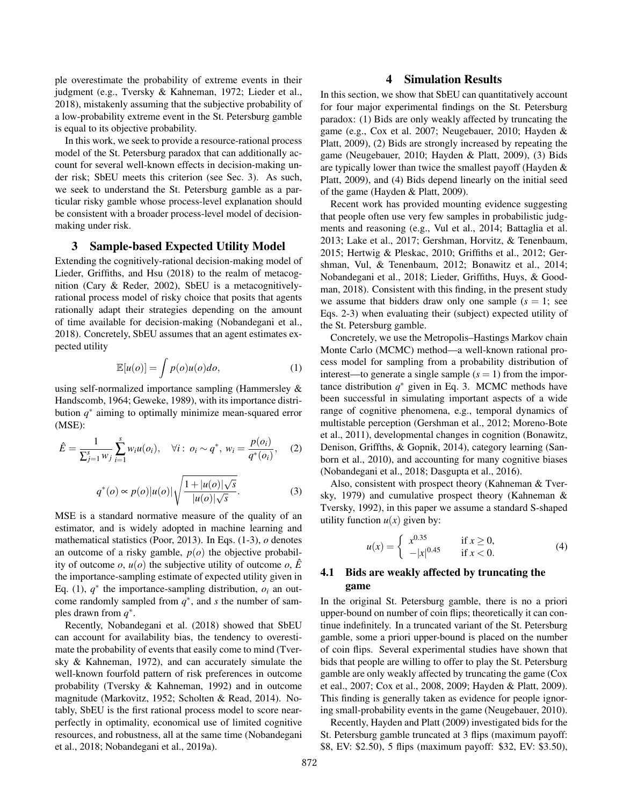ple overestimate the probability of extreme events in their judgment (e.g., Tversky & Kahneman, 1972; Lieder et al., 2018), mistakenly assuming that the subjective probability of a low-probability extreme event in the St. Petersburg gamble is equal to its objective probability.

In this work, we seek to provide a resource-rational process model of the St. Petersburg paradox that can additionally account for several well-known effects in decision-making under risk; SbEU meets this criterion (see Sec. 3). As such, we seek to understand the St. Petersburg gamble as a particular risky gamble whose process-level explanation should be consistent with a broader process-level model of decisionmaking under risk.

### 3 Sample-based Expected Utility Model

Extending the cognitively-rational decision-making model of Lieder, Griffiths, and Hsu (2018) to the realm of metacognition (Cary & Reder, 2002), SbEU is a metacognitivelyrational process model of risky choice that posits that agents rationally adapt their strategies depending on the amount of time available for decision-making (Nobandegani et al., 2018). Concretely, SbEU assumes that an agent estimates expected utility

$$
\mathbb{E}[u(o)] = \int p(o)u(o)do,
$$
 (1)

using self-normalized importance sampling (Hammersley & Handscomb, 1964; Geweke, 1989), with its importance distribution *q* ∗ aiming to optimally minimize mean-squared error (MSE):

$$
\hat{E} = \frac{1}{\sum_{j=1}^{s} w_j} \sum_{i=1}^{s} w_i u(o_i), \quad \forall i: \ o_i \sim q^*, \ w_i = \frac{p(o_i)}{q^*(o_i)}, \quad (2)
$$

$$
q^*(o) \propto p(o)|u(o)|\sqrt{\frac{1+|u(o)|\sqrt{s}}{|u(o)|\sqrt{s}}}. \tag{3}
$$

MSE is a standard normative measure of the quality of an estimator, and is widely adopted in machine learning and mathematical statistics (Poor, 2013). In Eqs. (1-3), *o* denotes an outcome of a risky gamble, *p*(*o*) the objective probability of outcome *o*,  $u(o)$  the subjective utility of outcome *o*,  $\hat{E}$ the importance-sampling estimate of expected utility given in Eq. (1),  $q^*$  the importance-sampling distribution,  $o_i$  an outcome randomly sampled from  $q^*$ , and *s* the number of samples drawn from  $q^*$ .

Recently, Nobandegani et al. (2018) showed that SbEU can account for availability bias, the tendency to overestimate the probability of events that easily come to mind (Tversky & Kahneman, 1972), and can accurately simulate the well-known fourfold pattern of risk preferences in outcome probability (Tversky & Kahneman, 1992) and in outcome magnitude (Markovitz, 1952; Scholten & Read, 2014). Notably, SbEU is the first rational process model to score nearperfectly in optimality, economical use of limited cognitive resources, and robustness, all at the same time (Nobandegani et al., 2018; Nobandegani et al., 2019a).

# 4 Simulation Results

In this section, we show that SbEU can quantitatively account for four major experimental findings on the St. Petersburg paradox: (1) Bids are only weakly affected by truncating the game (e.g., Cox et al. 2007; Neugebauer, 2010; Hayden & Platt, 2009), (2) Bids are strongly increased by repeating the game (Neugebauer, 2010; Hayden & Platt, 2009), (3) Bids are typically lower than twice the smallest payoff (Hayden & Platt, 2009), and (4) Bids depend linearly on the initial seed of the game (Hayden & Platt, 2009).

Recent work has provided mounting evidence suggesting that people often use very few samples in probabilistic judgments and reasoning (e.g., Vul et al., 2014; Battaglia et al. 2013; Lake et al., 2017; Gershman, Horvitz, & Tenenbaum, 2015; Hertwig & Pleskac, 2010; Griffiths et al., 2012; Gershman, Vul, & Tenenbaum, 2012; Bonawitz et al., 2014; Nobandegani et al., 2018; Lieder, Griffiths, Huys, & Goodman, 2018). Consistent with this finding, in the present study we assume that bidders draw only one sample  $(s = 1; \text{ see})$ Eqs. 2-3) when evaluating their (subject) expected utility of the St. Petersburg gamble.

Concretely, we use the Metropolis–Hastings Markov chain Monte Carlo (MCMC) method—a well-known rational process model for sampling from a probability distribution of interest—to generate a single sample  $(s = 1)$  from the importance distribution  $q^*$  given in Eq. 3. MCMC methods have been successful in simulating important aspects of a wide range of cognitive phenomena, e.g., temporal dynamics of multistable perception (Gershman et al., 2012; Moreno-Bote et al., 2011), developmental changes in cognition (Bonawitz, Denison, Griffths, & Gopnik, 2014), category learning (Sanborn et al., 2010), and accounting for many cognitive biases (Nobandegani et al., 2018; Dasgupta et al., 2016).

Also, consistent with prospect theory (Kahneman & Tversky, 1979) and cumulative prospect theory (Kahneman & Tversky, 1992), in this paper we assume a standard S-shaped utility function  $u(x)$  given by:

$$
u(x) = \begin{cases} x^{0.35} & \text{if } x \ge 0, \\ -|x|^{0.45} & \text{if } x < 0. \end{cases}
$$
 (4)

# 4.1 Bids are weakly affected by truncating the game

In the original St. Petersburg gamble, there is no a priori upper-bound on number of coin flips; theoretically it can continue indefinitely. In a truncated variant of the St. Petersburg gamble, some a priori upper-bound is placed on the number of coin flips. Several experimental studies have shown that bids that people are willing to offer to play the St. Petersburg gamble are only weakly affected by truncating the game (Cox et eal., 2007; Cox et al., 2008, 2009; Hayden & Platt, 2009). This finding is generally taken as evidence for people ignoring small-probability events in the game (Neugebauer, 2010).

Recently, Hayden and Platt (2009) investigated bids for the St. Petersburg gamble truncated at 3 flips (maximum payoff: \$8, EV: \$2.50), 5 flips (maximum payoff: \$32, EV: \$3.50),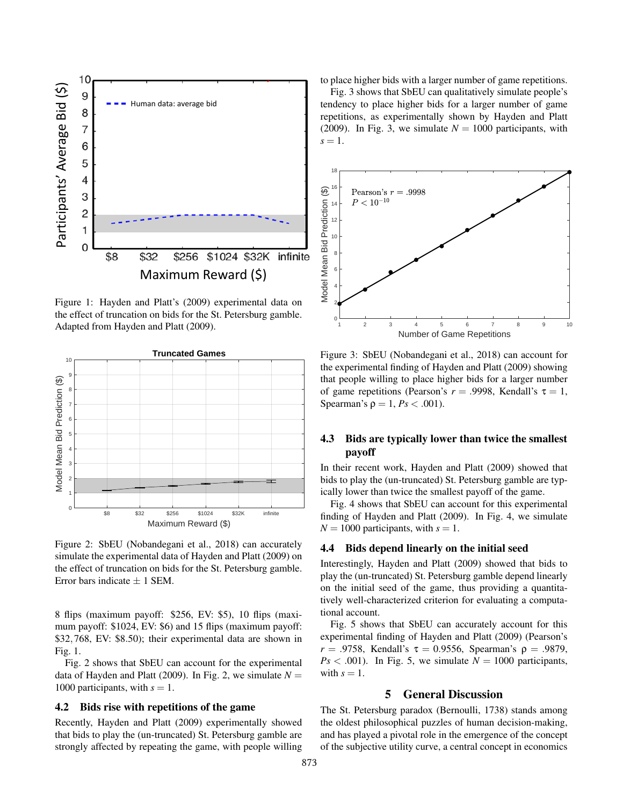

Figure 1: Hayden and Platt's (2009) experimental data on the effect of truncation on bids for the St. Petersburg gamble. Adapted from Hayden and Platt (2009).



Figure 2: SbEU (Nobandegani et al., 2018) can accurately simulate the experimental data of Hayden and Platt (2009) on the effect of truncation on bids for the St. Petersburg gamble. Error bars indicate  $\pm$  1 SEM.

8 flips (maximum payoff: \$256, EV: \$5), 10 flips (maximum payoff: \$1024, EV: \$6) and 15 flips (maximum payoff: \$32,768, EV: \$8.50); their experimental data are shown in Fig. 1.

Fig. 2 shows that SbEU can account for the experimental data of Hayden and Platt (2009). In Fig. 2, we simulate  $N =$ 1000 participants, with  $s = 1$ .

#### 4.2 Bids rise with repetitions of the game

Recently, Hayden and Platt (2009) experimentally showed that bids to play the (un-truncated) St. Petersburg gamble are strongly affected by repeating the game, with people willing to place higher bids with a larger number of game repetitions.

Fig. 3 shows that SbEU can qualitatively simulate people's tendency to place higher bids for a larger number of game repetitions, as experimentally shown by Hayden and Platt (2009). In Fig. 3, we simulate  $N = 1000$  participants, with  $s=1$ .



Figure 3: SbEU (Nobandegani et al., 2018) can account for the experimental finding of Hayden and Platt (2009) showing that people willing to place higher bids for a larger number of game repetitions (Pearson's  $r = .9998$ , Kendall's  $\tau = 1$ , Spearman's  $\rho = 1$ ,  $Ps < .001$ ).

# 4.3 Bids are typically lower than twice the smallest payoff

In their recent work, Hayden and Platt (2009) showed that bids to play the (un-truncated) St. Petersburg gamble are typically lower than twice the smallest payoff of the game.

Fig. 4 shows that SbEU can account for this experimental finding of Hayden and Platt (2009). In Fig. 4, we simulate  $N = 1000$  participants, with  $s = 1$ .

#### 4.4 Bids depend linearly on the initial seed

Interestingly, Hayden and Platt (2009) showed that bids to play the (un-truncated) St. Petersburg gamble depend linearly on the initial seed of the game, thus providing a quantitatively well-characterized criterion for evaluating a computational account.

Fig. 5 shows that SbEU can accurately account for this experimental finding of Hayden and Platt (2009) (Pearson's *r* = .9758, Kendall's  $\tau$  = 0.9556, Spearman's ρ = .9879,  $Ps < .001$ ). In Fig. 5, we simulate  $N = 1000$  participants, with  $s = 1$ .

# 5 General Discussion

The St. Petersburg paradox (Bernoulli, 1738) stands among the oldest philosophical puzzles of human decision-making, and has played a pivotal role in the emergence of the concept of the subjective utility curve, a central concept in economics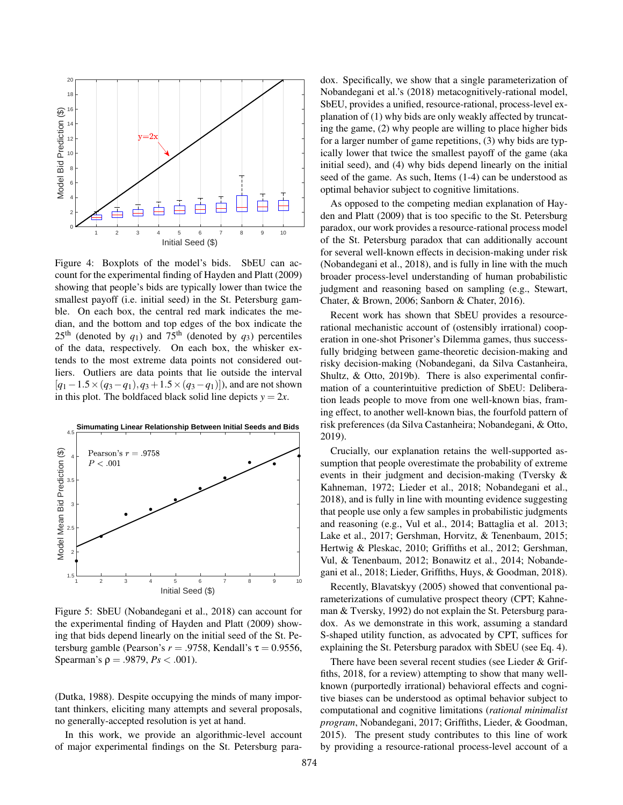

Figure 4: Boxplots of the model's bids. SbEU can account for the experimental finding of Hayden and Platt (2009) showing that people's bids are typically lower than twice the smallest payoff (i.e. initial seed) in the St. Petersburg gamble. On each box, the central red mark indicates the median, and the bottom and top edges of the box indicate the  $25<sup>th</sup>$  (denoted by  $q_1$ ) and  $75<sup>th</sup>$  (denoted by  $q_3$ ) percentiles of the data, respectively. On each box, the whisker extends to the most extreme data points not considered outliers. Outliers are data points that lie outside the interval [*q*1−1.5×(*q*3−*q*1),*q*3+1.5×(*q*3−*q*1)]), and are not shown in this plot. The boldfaced black solid line depicts  $y = 2x$ .



Figure 5: SbEU (Nobandegani et al., 2018) can account for the experimental finding of Hayden and Platt (2009) showing that bids depend linearly on the initial seed of the St. Petersburg gamble (Pearson's  $r = .9758$ , Kendall's  $\tau = 0.9556$ , Spearman's  $\rho = .9879, Ps < .001$ ).

(Dutka, 1988). Despite occupying the minds of many important thinkers, eliciting many attempts and several proposals, no generally-accepted resolution is yet at hand.

In this work, we provide an algorithmic-level account of major experimental findings on the St. Petersburg paradox. Specifically, we show that a single parameterization of Nobandegani et al.'s (2018) metacognitively-rational model, SbEU, provides a unified, resource-rational, process-level explanation of (1) why bids are only weakly affected by truncating the game, (2) why people are willing to place higher bids for a larger number of game repetitions, (3) why bids are typically lower that twice the smallest payoff of the game (aka initial seed), and (4) why bids depend linearly on the initial seed of the game. As such, Items (1-4) can be understood as optimal behavior subject to cognitive limitations.

As opposed to the competing median explanation of Hayden and Platt (2009) that is too specific to the St. Petersburg paradox, our work provides a resource-rational process model of the St. Petersburg paradox that can additionally account for several well-known effects in decision-making under risk (Nobandegani et al., 2018), and is fully in line with the much broader process-level understanding of human probabilistic judgment and reasoning based on sampling (e.g., Stewart, Chater, & Brown, 2006; Sanborn & Chater, 2016).

Recent work has shown that SbEU provides a resourcerational mechanistic account of (ostensibly irrational) cooperation in one-shot Prisoner's Dilemma games, thus successfully bridging between game-theoretic decision-making and risky decision-making (Nobandegani, da Silva Castanheira, Shultz, & Otto, 2019b). There is also experimental confirmation of a counterintuitive prediction of SbEU: Deliberation leads people to move from one well-known bias, framing effect, to another well-known bias, the fourfold pattern of risk preferences (da Silva Castanheira; Nobandegani, & Otto, 2019).

Crucially, our explanation retains the well-supported assumption that people overestimate the probability of extreme events in their judgment and decision-making (Tversky & Kahneman, 1972; Lieder et al., 2018; Nobandegani et al., 2018), and is fully in line with mounting evidence suggesting that people use only a few samples in probabilistic judgments and reasoning (e.g., Vul et al., 2014; Battaglia et al. 2013; Lake et al., 2017; Gershman, Horvitz, & Tenenbaum, 2015; Hertwig & Pleskac, 2010; Griffiths et al., 2012; Gershman, Vul, & Tenenbaum, 2012; Bonawitz et al., 2014; Nobandegani et al., 2018; Lieder, Griffiths, Huys, & Goodman, 2018).

Recently, Blavatskyy (2005) showed that conventional parameterizations of cumulative prospect theory (CPT; Kahneman & Tversky, 1992) do not explain the St. Petersburg paradox. As we demonstrate in this work, assuming a standard S-shaped utility function, as advocated by CPT, suffices for explaining the St. Petersburg paradox with SbEU (see Eq. 4).

There have been several recent studies (see Lieder & Griffiths, 2018, for a review) attempting to show that many wellknown (purportedly irrational) behavioral effects and cognitive biases can be understood as optimal behavior subject to computational and cognitive limitations (*rational minimalist program*, Nobandegani, 2017; Griffiths, Lieder, & Goodman, 2015). The present study contributes to this line of work by providing a resource-rational process-level account of a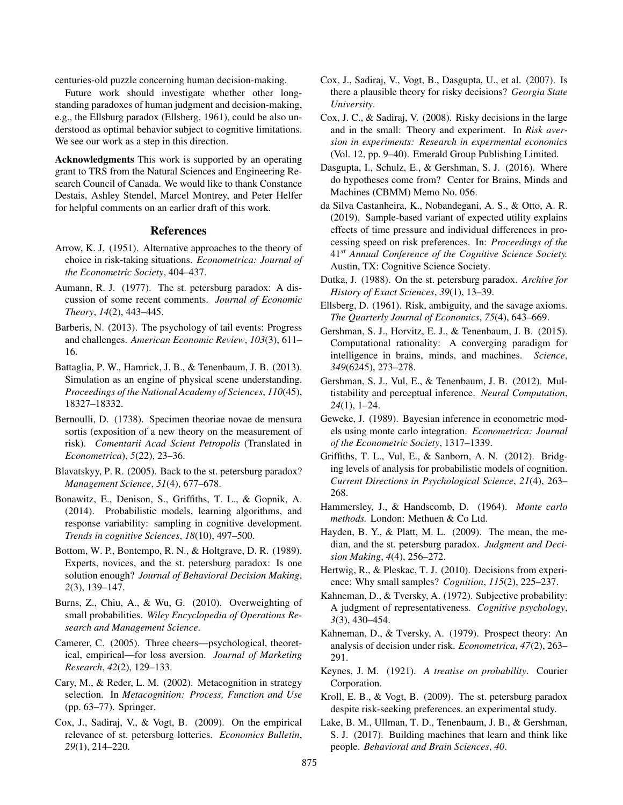centuries-old puzzle concerning human decision-making.

Future work should investigate whether other longstanding paradoxes of human judgment and decision-making, e.g., the Ellsburg paradox (Ellsberg, 1961), could be also understood as optimal behavior subject to cognitive limitations. We see our work as a step in this direction.

Acknowledgments This work is supported by an operating grant to TRS from the Natural Sciences and Engineering Research Council of Canada. We would like to thank Constance Destais, Ashley Stendel, Marcel Montrey, and Peter Helfer for helpful comments on an earlier draft of this work.

#### References

- Arrow, K. J. (1951). Alternative approaches to the theory of choice in risk-taking situations. *Econometrica: Journal of the Econometric Society*, 404–437.
- Aumann, R. J. (1977). The st. petersburg paradox: A discussion of some recent comments. *Journal of Economic Theory*, *14*(2), 443–445.
- Barberis, N. (2013). The psychology of tail events: Progress and challenges. *American Economic Review*, *103*(3), 611– 16.
- Battaglia, P. W., Hamrick, J. B., & Tenenbaum, J. B. (2013). Simulation as an engine of physical scene understanding. *Proceedings of the National Academy of Sciences*, *110*(45), 18327–18332.
- Bernoulli, D. (1738). Specimen theoriae novae de mensura sortis (exposition of a new theory on the measurement of risk). *Comentarii Acad Scient Petropolis* (Translated in *Econometrica*), *5*(22), 23–36.
- Blavatskyy, P. R. (2005). Back to the st. petersburg paradox? *Management Science*, *51*(4), 677–678.
- Bonawitz, E., Denison, S., Griffiths, T. L., & Gopnik, A. (2014). Probabilistic models, learning algorithms, and response variability: sampling in cognitive development. *Trends in cognitive Sciences*, *18*(10), 497–500.
- Bottom, W. P., Bontempo, R. N., & Holtgrave, D. R. (1989). Experts, novices, and the st. petersburg paradox: Is one solution enough? *Journal of Behavioral Decision Making*, *2*(3), 139–147.
- Burns, Z., Chiu, A., & Wu, G. (2010). Overweighting of small probabilities. *Wiley Encyclopedia of Operations Research and Management Science*.
- Camerer, C. (2005). Three cheers—psychological, theoretical, empirical—for loss aversion. *Journal of Marketing Research*, *42*(2), 129–133.
- Cary, M., & Reder, L. M. (2002). Metacognition in strategy selection. In *Metacognition: Process, Function and Use* (pp. 63–77). Springer.
- Cox, J., Sadiraj, V., & Vogt, B. (2009). On the empirical relevance of st. petersburg lotteries. *Economics Bulletin*, *29*(1), 214–220.
- Cox, J., Sadiraj, V., Vogt, B., Dasgupta, U., et al. (2007). Is there a plausible theory for risky decisions? *Georgia State University*.
- Cox, J. C., & Sadiraj, V. (2008). Risky decisions in the large and in the small: Theory and experiment. In *Risk aversion in experiments: Research in expermental economics* (Vol. 12, pp. 9–40). Emerald Group Publishing Limited.
- Dasgupta, I., Schulz, E., & Gershman, S. J. (2016). Where do hypotheses come from? Center for Brains, Minds and Machines (CBMM) Memo No. 056.
- da Silva Castanheira, K., Nobandegani, A. S., & Otto, A. R. (2019). Sample-based variant of expected utility explains effects of time pressure and individual differences in processing speed on risk preferences. In: *Proceedings of the* 41*st Annual Conference of the Cognitive Science Society.* Austin, TX: Cognitive Science Society.
- Dutka, J. (1988). On the st. petersburg paradox. *Archive for History of Exact Sciences*, *39*(1), 13–39.
- Ellsberg, D. (1961). Risk, ambiguity, and the savage axioms. *The Quarterly Journal of Economics*, *75*(4), 643–669.
- Gershman, S. J., Horvitz, E. J., & Tenenbaum, J. B. (2015). Computational rationality: A converging paradigm for intelligence in brains, minds, and machines. *Science*, *349*(6245), 273–278.
- Gershman, S. J., Vul, E., & Tenenbaum, J. B. (2012). Multistability and perceptual inference. *Neural Computation*, *24*(1), 1–24.
- Geweke, J. (1989). Bayesian inference in econometric models using monte carlo integration. *Econometrica: Journal of the Econometric Society*, 1317–1339.
- Griffiths, T. L., Vul, E., & Sanborn, A. N. (2012). Bridging levels of analysis for probabilistic models of cognition. *Current Directions in Psychological Science*, *21*(4), 263– 268.
- Hammersley, J., & Handscomb, D. (1964). *Monte carlo methods.* London: Methuen & Co Ltd.
- Hayden, B. Y., & Platt, M. L. (2009). The mean, the median, and the st. petersburg paradox. *Judgment and Decision Making*, *4*(4), 256–272.
- Hertwig, R., & Pleskac, T. J. (2010). Decisions from experience: Why small samples? *Cognition*, *115*(2), 225–237.
- Kahneman, D., & Tversky, A. (1972). Subjective probability: A judgment of representativeness. *Cognitive psychology*, *3*(3), 430–454.
- Kahneman, D., & Tversky, A. (1979). Prospect theory: An analysis of decision under risk. *Econometrica*, *47*(2), 263– 291.
- Keynes, J. M. (1921). *A treatise on probability*. Courier Corporation.
- Kroll, E. B., & Vogt, B. (2009). The st. petersburg paradox despite risk-seeking preferences. an experimental study.
- Lake, B. M., Ullman, T. D., Tenenbaum, J. B., & Gershman, S. J. (2017). Building machines that learn and think like people. *Behavioral and Brain Sciences*, *40*.